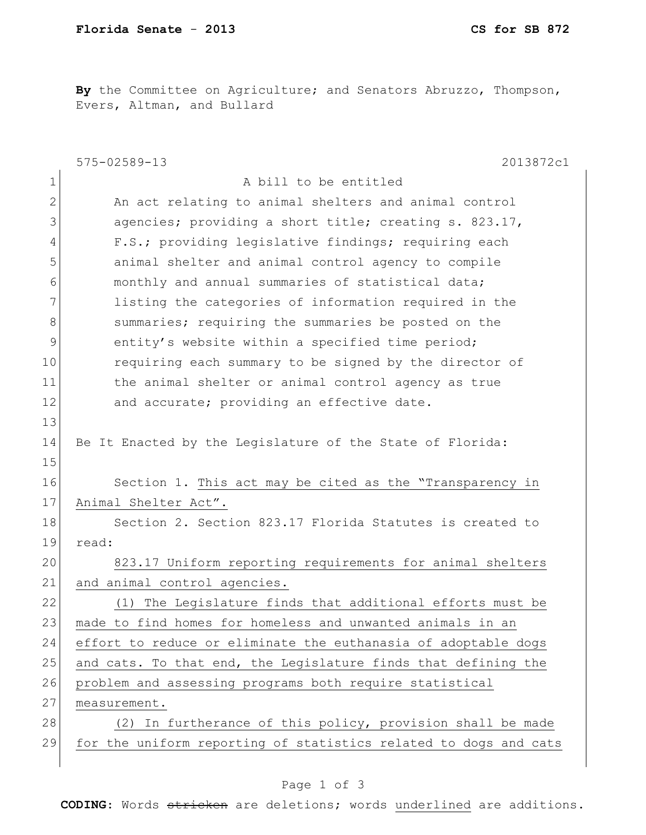**By** the Committee on Agriculture; and Senators Abruzzo, Thompson, Evers, Altman, and Bullard

|              | $575 - 02589 - 13$<br>2013872c1                                  |
|--------------|------------------------------------------------------------------|
| 1            | A bill to be entitled                                            |
| $\mathbf{2}$ | An act relating to animal shelters and animal control            |
| 3            | agencies; providing a short title; creating s. 823.17,           |
| 4            | F.S.; providing legislative findings; requiring each             |
| 5            | animal shelter and animal control agency to compile              |
| 6            | monthly and annual summaries of statistical data;                |
| 7            | listing the categories of information required in the            |
| 8            | summaries; requiring the summaries be posted on the              |
| 9            | entity's website within a specified time period;                 |
| 10           | requiring each summary to be signed by the director of           |
| 11           | the animal shelter or animal control agency as true              |
| 12           | and accurate; providing an effective date.                       |
| 13           |                                                                  |
| 14           | Be It Enacted by the Legislature of the State of Florida:        |
| 15           |                                                                  |
| 16           | Section 1. This act may be cited as the "Transparency in         |
| 17           | Animal Shelter Act".                                             |
| 18           | Section 2. Section 823.17 Florida Statutes is created to         |
| 19           | read:                                                            |
| 20           | 823.17 Uniform reporting requirements for animal shelters        |
| 21           | and animal control agencies.                                     |
| 22           | (1) The Legislature finds that additional efforts must be        |
| 23           | made to find homes for homeless and unwanted animals in an       |
| 24           | effort to reduce or eliminate the euthanasia of adoptable dogs   |
| 25           | and cats. To that end, the Legislature finds that defining the   |
| 26           | problem and assessing programs both require statistical          |
| 27           | measurement.                                                     |
| 28           | (2) In furtherance of this policy, provision shall be made       |
| 29           | for the uniform reporting of statistics related to dogs and cats |
|              |                                                                  |

## Page 1 of 3

**CODING**: Words stricken are deletions; words underlined are additions.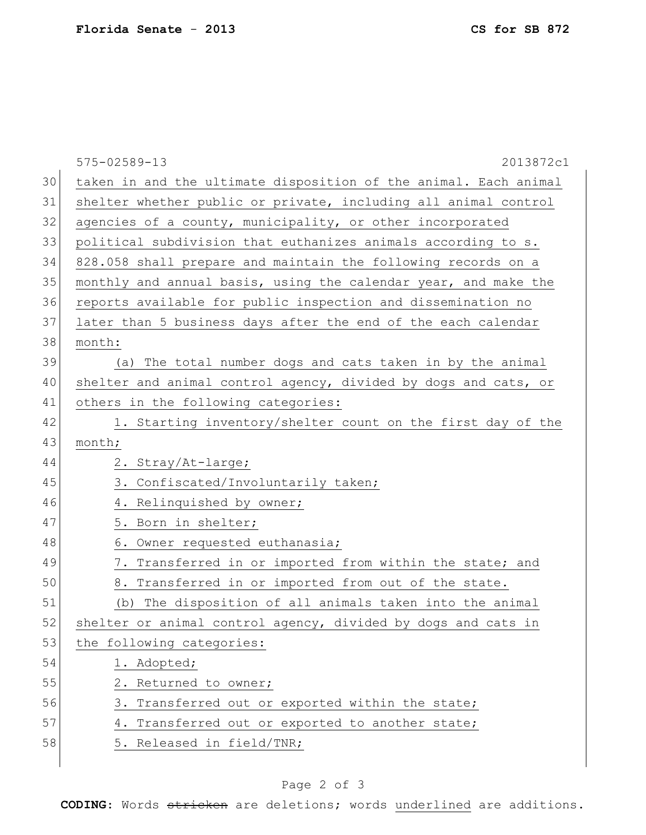|    | $575 - 02589 - 13$<br>2013872c1                                  |
|----|------------------------------------------------------------------|
| 30 | taken in and the ultimate disposition of the animal. Each animal |
| 31 | shelter whether public or private, including all animal control  |
| 32 | agencies of a county, municipality, or other incorporated        |
| 33 | political subdivision that euthanizes animals according to s.    |
| 34 | 828.058 shall prepare and maintain the following records on a    |
| 35 | monthly and annual basis, using the calendar year, and make the  |
| 36 | reports available for public inspection and dissemination no     |
| 37 | later than 5 business days after the end of the each calendar    |
| 38 | month:                                                           |
| 39 | (a) The total number dogs and cats taken in by the animal        |
| 40 | shelter and animal control agency, divided by dogs and cats, or  |
| 41 | others in the following categories:                              |
| 42 | 1. Starting inventory/shelter count on the first day of the      |
| 43 | month;                                                           |
| 44 | 2. Stray/At-large;                                               |
| 45 | 3. Confiscated/Involuntarily taken;                              |
| 46 | 4. Relinquished by owner;                                        |
| 47 | 5. Born in shelter;                                              |
| 48 | 6. Owner requested euthanasia;                                   |
| 49 | 7. Transferred in or imported from within the state; and         |
| 50 | 8. Transferred in or imported from out of the state.             |
| 51 | (b) The disposition of all animals taken into the animal         |
| 52 | shelter or animal control agency, divided by dogs and cats in    |
| 53 | the following categories:                                        |
| 54 | 1. Adopted;                                                      |
| 55 | 2. Returned to owner;                                            |
| 56 | 3. Transferred out or exported within the state;                 |
| 57 | 4. Transferred out or exported to another state;                 |
| 58 | 5. Released in field/TNR;                                        |
|    |                                                                  |

## Page 2 of 3

**CODING**: Words stricken are deletions; words underlined are additions.